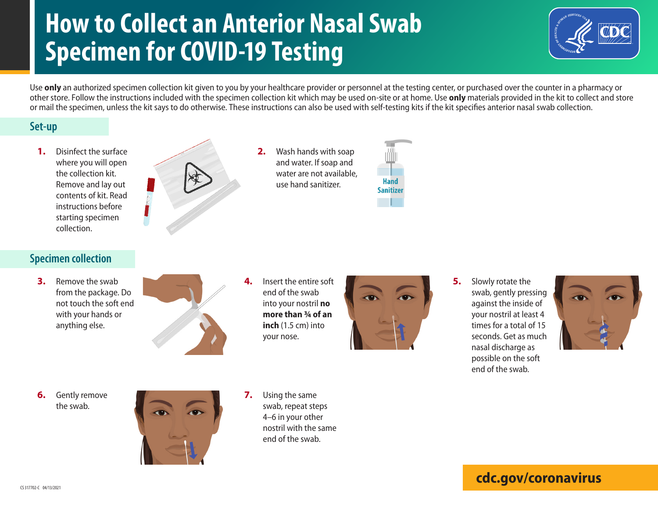# **How to Collect an Anterior Nasal Swab Specimen for COVID-19 Testing**



Use **only** an authorized specimen collection kit given to you by your healthcare provider or personnel at the testing center, or purchased over the counter in a pharmacy or other store. Follow the instructions included with the specimen collection kit which may be used on-site or at home. Use **only** materials provided in the kit to collect and store or mail the specimen, unless the kit says to do otherwise. These instructions can also be used with self-testing kits if the kit specifies anterior nasal swab collection.

#### **Set-up**

**1.** Disinfect the surface where you will open the collection kit. Remove and lay out contents of kit. Read instructions before starting specimen collection.



**2.** Wash hands with soap and water. If soap and water are not available, use hand sanitizer.



### **Specimen collection**

**3.** Remove the swab from the package. Do not touch the soft end with your hands or anything else.



**4.** Insert the entire soft end of the swab into your nostril **no more than ¾ of an inch** (1.5 cm) into your nose.



**5.** Slowly rotate the swab, gently pressing against the inside of your nostril at least 4 times for a total of 15 seconds. Get as much nasal discharge as possible on the soft end of the swab.



**6.** Gently remove the swab.



- **7.** Using the same swab, repeat steps 4–6 in your other nostril with the same end of the swab.
- **[cdc.gov/coronavirus](http://www.cdc.gov/coronavirus)**